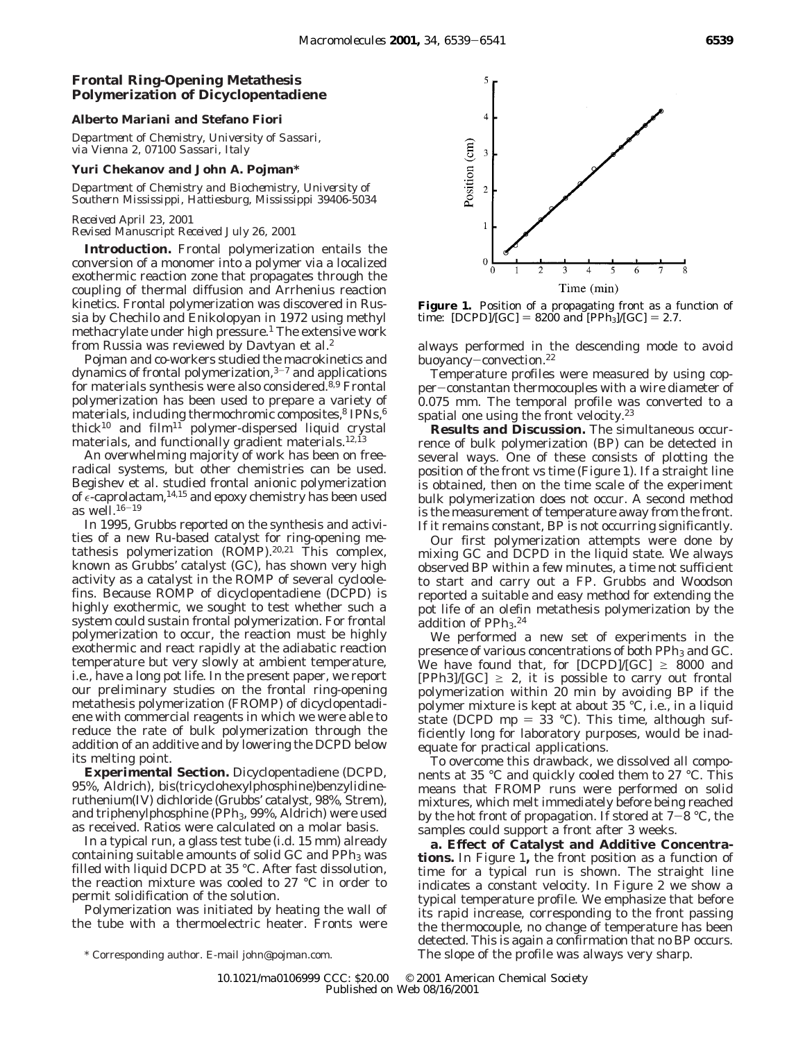# **Frontal Ring-Opening Metathesis Polymerization of Dicyclopentadiene**

## **Alberto Mariani and Stefano Fiori**

*Department of Chemistry, University of Sassari, via Vienna 2, 07100 Sassari, Italy*

#### **Yuri Chekanov and John A. Pojman\***

*Department of Chemistry and Biochemistry, University of Southern Mississippi, Hattiesburg, Mississippi 39406-5034*

# *Received April 23, 2001 Revised Manuscript Received July 26, 2001*

**Introduction.** Frontal polymerization entails the conversion of a monomer into a polymer via a localized exothermic reaction zone that propagates through the coupling of thermal diffusion and Arrhenius reaction kinetics. Frontal polymerization was discovered in Russia by Chechilo and Enikolopyan in 1972 using methyl methacrylate under high pressure.<sup>1</sup> The extensive work from Russia was reviewed by Davtyan et al.2

Pojman and co-workers studied the macrokinetics and dynamics of frontal polymerization, $3-7$  and applications for materials synthesis were also considered.<sup>8,9</sup> Frontal polymerization has been used to prepare a variety of materials, including thermochromic composites, $8$  IPNs, $6$ thick<sup>10</sup> and film<sup>11</sup> polymer-dispersed liquid crystal materials, and functionally gradient materials.<sup>12,13</sup>

An overwhelming majority of work has been on freeradical systems, but other chemistries can be used. Begishev et al. studied frontal anionic polymerization of  $\epsilon$ -caprolactam,<sup>14,15</sup> and epoxy chemistry has been used as well. $16-19$ 

In 1995, Grubbs reported on the synthesis and activities of a new Ru-based catalyst for ring-opening metathesis polymerization (ROMP).<sup>20,21</sup> This complex, known as Grubbs' catalyst (GC), has shown very high activity as a catalyst in the ROMP of several cycloolefins. Because ROMP of dicyclopentadiene (DCPD) is highly exothermic, we sought to test whether such a system could sustain frontal polymerization. For frontal polymerization to occur, the reaction must be highly exothermic and react rapidly at the adiabatic reaction temperature but very slowly at ambient temperature, i.e., have a long pot life. In the present paper, we report our preliminary studies on the frontal ring-opening metathesis polymerization (FROMP) of dicyclopentadiene with commercial reagents in which we were able to reduce the rate of bulk polymerization through the addition of an additive and by lowering the DCPD below its melting point.

**Experimental Section.** Dicyclopentadiene (DCPD, 95%, Aldrich), bis(tricyclohexylphosphine)benzylidineruthenium(IV) dichloride (Grubbs' catalyst, 98%, Strem), and triphenylphosphine (PPh3, 99%, Aldrich) were used as received. Ratios were calculated on a molar basis.

In a typical run, a glass test tube (i.d. 15 mm) already containing suitable amounts of solid  $GC$  and  $PPh_3$  was filled with liquid DCPD at 35 °C. After fast dissolution, the reaction mixture was cooled to 27 °C in order to permit solidification of the solution.

Polymerization was initiated by heating the wall of the tube with a thermoelectric heater. Fronts were



**Figure 1.** Position of a propagating front as a function of time:  $[DCPD]/[GC] = 8200$  and  $[PPh_3]/[GC] = 2.7$ .

always performed in the descending mode to avoid buoyancy-convection.22

Temperature profiles were measured by using copper-constantan thermocouples with a wire diameter of 0.075 mm. The temporal profile was converted to a spatial one using the front velocity.<sup>23</sup>

**Results and Discussion.** The simultaneous occurrence of bulk polymerization (BP) can be detected in several ways. One of these consists of plotting the position of the front vs time (Figure 1). If a straight line is obtained, then on the time scale of the experiment bulk polymerization does not occur. A second method is the measurement of temperature away from the front. If it remains constant, BP is not occurring significantly.

Our first polymerization attempts were done by mixing GC and DCPD in the liquid state. We always observed BP within a few minutes, a time not sufficient to start and carry out a FP. Grubbs and Woodson reported a suitable and easy method for extending the pot life of an olefin metathesis polymerization by the addition of PPh<sub>3</sub>.<sup>24</sup>

We performed a new set of experiments in the presence of various concentrations of both  $\text{PPh}_3$  and GC. We have found that, for  $[DCPD]/[GC] \geq 8000$  and  $[PPh3]/[GC] \geq 2$ , it is possible to carry out frontal polymerization within 20 min by avoiding BP if the polymer mixture is kept at about 35 °C, i.e*.*, in a liquid state (DCPD mp = 33 °C). This time, although sufficiently long for laboratory purposes, would be inadequate for practical applications.

To overcome this drawback, we dissolved all components at 35 °C and quickly cooled them to 27 °C. This means that FROMP runs were performed on solid mixtures, which melt immediately before being reached by the hot front of propagation. If stored at  $7-8$  °C, the samples could support a front after 3 weeks.

**a. Effect of Catalyst and Additive Concentrations.** In Figure 1**,** the front position as a function of time for a typical run is shown. The straight line indicates a constant velocity. In Figure 2 we show a typical temperature profile. We emphasize that before its rapid increase, corresponding to the front passing the thermocouple, no change of temperature has been detected. This is again a confirmation that no BP occurs. \* Corresponding author. E-mail john@pojman.com. The slope of the profile was always very sharp.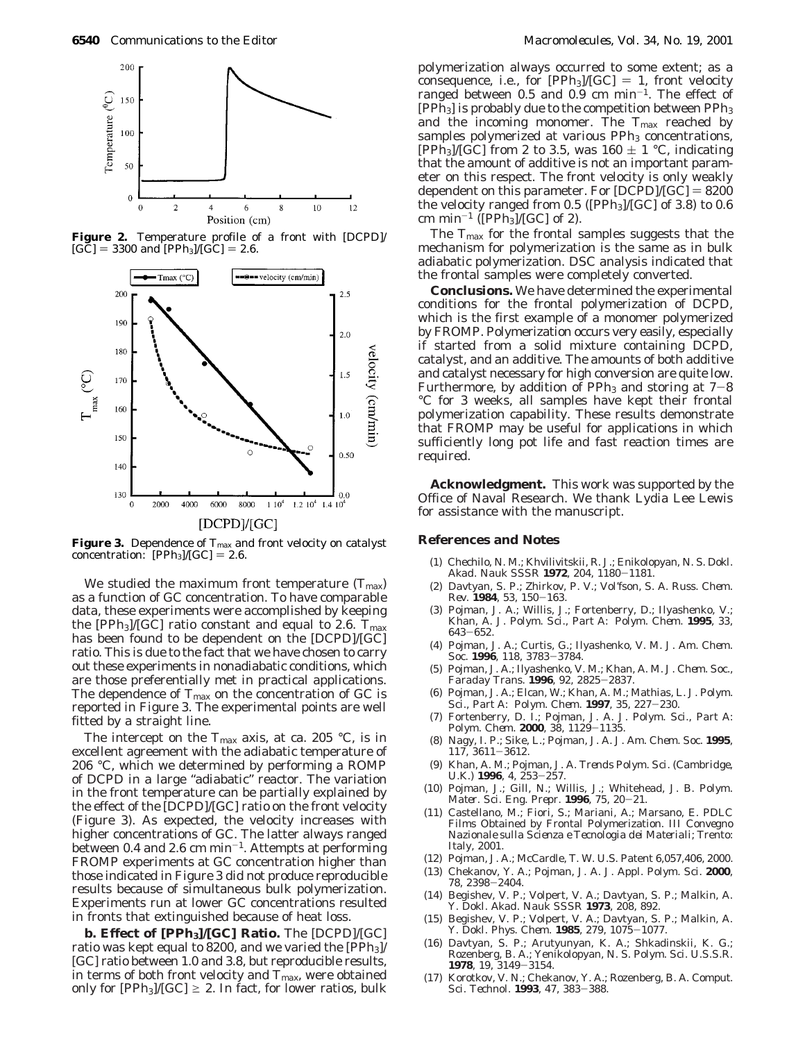

**Figure 2.** Temperature profile of a front with [DCPD]/  $[G\bar{C}] = 3300$  and  $[PPh_3]/[GC] = 2.6$ .



Figure 3. Dependence of  $T_{\text{max}}$  and front velocity on catalyst concentration:  $[PPh_3]/[GC] = 2.6$ .

We studied the maximum front temperature  $(T_{\text{max}})$ as a function of GC concentration. To have comparable data, these experiments were accomplished by keeping the [PPh<sub>3</sub>]/[GC] ratio constant and equal to 2.6.  $T_{\text{max}}$ has been found to be dependent on the [DCPD]/[GC] ratio. This is due to the fact that we have chosen to carry out these experiments in nonadiabatic conditions, which are those preferentially met in practical applications. The dependence of  $T_{\text{max}}$  on the concentration of GC is reported in Figure 3. The experimental points are well fitted by a straight line.

The intercept on the  $T_{\text{max}}$  axis, at ca. 205 °C, is in excellent agreement with the adiabatic temperature of 206 °C, which we determined by performing a ROMP of DCPD in a large "adiabatic" reactor. The variation in the front temperature can be partially explained by the effect of the [DCPD]/[GC] ratio on the front velocity (Figure 3). As expected, the velocity increases with higher concentrations of GC. The latter always ranged between 0.4 and 2.6 cm  $min^{-1}$ . Attempts at performing FROMP experiments at GC concentration higher than those indicated in Figure 3 did not produce reproducible results because of simultaneous bulk polymerization. Experiments run at lower GC concentrations resulted in fronts that extinguished because of heat loss.

**b. Effect of [PPh3]/[GC] Ratio.** The [DCPD]/[GC] ratio was kept equal to 8200, and we varied the  $[PPh_3]$ [GC] ratio between 1.0 and 3.8, but reproducible results, in terms of both front velocity and  $T_{\text{max}}$ , were obtained only for  $[PPh_3]/[GC] \geq 2$ . In fact, for lower ratios, bulk

polymerization always occurred to some extent; as a consequence, i.e., for  $[PPh_3]/[GC] = 1$ , front velocity ranged between 0.5 and 0.9 cm  $min^{-1}$ . The effect of [PPh<sub>3</sub>] is probably due to the competition between PPh<sub>3</sub> and the incoming monomer. The  $T_{\text{max}}$  reached by samples polymerized at various PPh<sub>3</sub> concentrations, [PPh<sub>3</sub>]/[GC] from 2 to 3.5, was  $160 \pm 1$  °C, indicating that the amount of additive is not an important parameter on this respect. The front velocity is only weakly dependent on this parameter. For  $[DCPD]/[GC] = 8200$ the velocity ranged from 0.5 ( $[PPh_3]/[GC]$  of 3.8) to 0.6 cm min<sup>-1</sup> ([PPh<sub>3</sub>]/[GC] of 2).

The *T*max for the frontal samples suggests that the mechanism for polymerization is the same as in bulk adiabatic polymerization. DSC analysis indicated that the frontal samples were completely converted.

**Conclusions.** We have determined the experimental conditions for the frontal polymerization of DCPD, which is the first example of a monomer polymerized by FROMP. Polymerization occurs very easily, especially if started from a solid mixture containing DCPD, catalyst, and an additive. The amounts of both additive and catalyst necessary for high conversion are quite low. Furthermore, by addition of PPh<sub>3</sub> and storing at  $7-8$ °C for 3 weeks, all samples have kept their frontal polymerization capability. These results demonstrate that FROMP may be useful for applications in which sufficiently long pot life and fast reaction times are required.

**Acknowledgment.** This work was supported by the Office of Naval Research. We thank Lydia Lee Lewis for assistance with the manuscript.

## **References and Notes**

- (1) Chechilo, N. M.; Khvilivitskii, R. J.; Enikolopyan, N. S. *Dokl. Akad. Nauk SSSR* **<sup>1972</sup>**, *<sup>204</sup>*, 1180-1181.
- (2) Davtyan, S. P.; Zhirkov, P. V.; Vol'fson, S. A. *Russ. Chem. Rev.* **<sup>1984</sup>**, *<sup>53</sup>*, 150-163.
- (3) Pojman, J. A.; Willis, J.; Fortenberry, D.; Ilyashenko, V.; Khan, A. *J. Polym. Sci., Part A: Polym. Chem.* **1995**, *33*, <sup>643</sup>-652.
- (4) Pojman, J. A.; Curtis, G.; Ilyashenko, V. M. *J. Am. Chem. Soc.* **<sup>1996</sup>**, *<sup>118</sup>*, 3783-3784.
- (5) Pojman, J. A.; Ilyashenko, V. M.; Khan, A. M. *J. Chem. Soc., Faraday Trans.* **<sup>1996</sup>**, *<sup>92</sup>*, 2825-2837.
- (6) Pojman, J. A.; Elcan, W.; Khan, A. M.; Mathias, L. *J. Polym. Sci., Part A: Polym. Chem.* **<sup>1997</sup>**, *<sup>35</sup>*, 227-230.
- (7) Fortenberry, D. I.; Pojman, J. A. *J. Polym. Sci., Part A: Polym. Chem.* **<sup>2000</sup>**, *<sup>38</sup>*, 1129-1135.
- (8) Nagy, I. P.; Sike, L.; Pojman, J. A. *J. Am. Chem. Soc.* **1995**, *<sup>117</sup>*, 3611-3612.
- (9) Khan, A. M.; Pojman, J. A. *Trends Polym. Sci. (Cambridge, U.K.)* **<sup>1996</sup>**, *<sup>4</sup>*, 253-257.
- (10) Pojman, J.; Gill, N.; Willis, J.; Whitehead, J. B. *Polym. Mater. Sci. Eng. Prepr.* **<sup>1996</sup>**, *<sup>75</sup>*, 20-21.
- (11) Castellano, M.; Fiori, S.; Mariani, A.; Marsano, E. PDLC Films Obtained by Frontal Polymerization. *III Convegno Nazionale sulla Scienza e Tecnologia dei Materiali*; Trento: Italy, 2001.
- (12) Pojman, J. A.; McCardle, T. W. U.S. Patent 6,057,406, 2000.
- (13) Chekanov, Y. A.; Pojman, J. A. *J. Appl. Polym. Sci.* **2000**, *<sup>78</sup>*, 2398-2404.
- (14) Begishev, V. P.; Volpert, V. A.; Davtyan, S. P.; Malkin, A. Y. *Dokl. Akad. Nauk SSSR* **1973**, *208*, 892.
- (15) Begishev, V. P.; Volpert, V. A.; Davtyan, S. P.; Malkin, A. Y. *Dokl. Phys. Chem.* **<sup>1985</sup>**, *<sup>279</sup>*, 1075-1077.
- (16) Davtyan, S. P.; Arutyunyan, K. A.; Shkadinskii, K. G.; Rozenberg, B. A.; Yenikolopyan, N. S. *Polym. Sci. U.S.S.R.* **<sup>1978</sup>**, *<sup>19</sup>*, 3149-3154.
- (17) Korotkov, V. N.; Chekanov, Y. A.; Rozenberg, B. A. *Comput. Sci. Technol.* **<sup>1993</sup>**, *<sup>47</sup>*, 383-388.